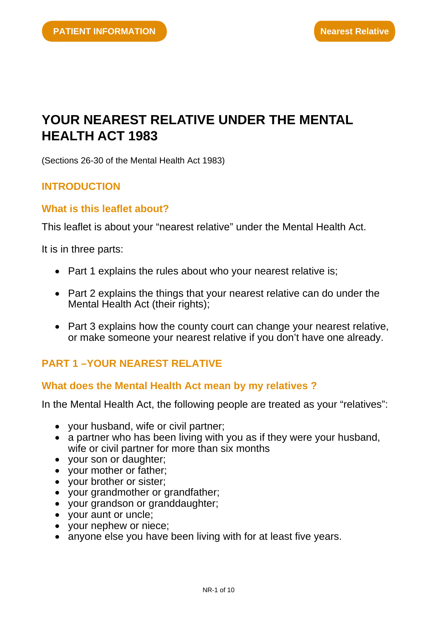# **YOUR NEAREST RELATIVE UNDER THE MENTAL HEALTH ACT 1983**

(Sections 26-30 of the Mental Health Act 1983)

# **INTRODUCTION**

# **What is this leaflet about?**

This leaflet is about your "nearest relative" under the Mental Health Act.

It is in three parts:

- Part 1 explains the rules about who your nearest relative is;
- Part 2 explains the things that your nearest relative can do under the Mental Health Act (their rights);
- Part 3 explains how the county court can change your nearest relative, or make someone your nearest relative if you don't have one already.

# **PART 1 –YOUR NEAREST RELATIVE**

#### **What does the Mental Health Act mean by my relatives ?**

In the Mental Health Act, the following people are treated as your "relatives":

- your husband, wife or civil partner;
- a partner who has been living with you as if they were your husband, wife or civil partner for more than six months
- your son or daughter;
- your mother or father;
- your brother or sister;
- your grandmother or grandfather;
- your grandson or granddaughter;
- your aunt or uncle;
- your nephew or niece;
- anyone else you have been living with for at least five years.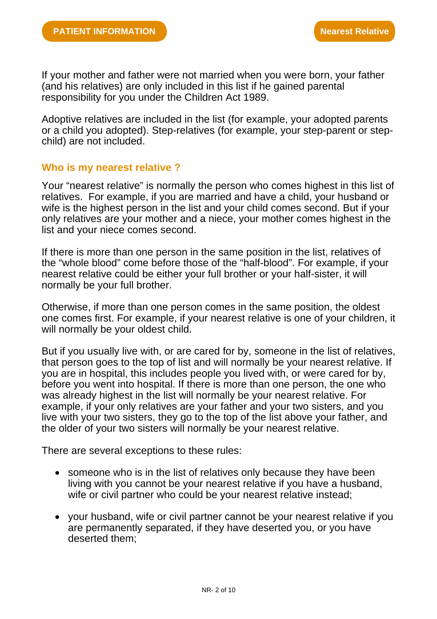If your mother and father were not married when you were born, your father (and his relatives) are only included in this list if he gained parental responsibility for you under the Children Act 1989.

Adoptive relatives are included in the list (for example, your adopted parents or a child you adopted). Step-relatives (for example, your step-parent or stepchild) are not included.

#### **Who is my nearest relative ?**

Your "nearest relative" is normally the person who comes highest in this list of relatives. For example, if you are married and have a child, your husband or wife is the highest person in the list and your child comes second. But if your only relatives are your mother and a niece, your mother comes highest in the list and your niece comes second.

If there is more than one person in the same position in the list, relatives of the "whole blood" come before those of the "half-blood". For example, if your nearest relative could be either your full brother or your half-sister, it will normally be your full brother.

Otherwise, if more than one person comes in the same position, the oldest one comes first. For example, if your nearest relative is one of your children, it will normally be your oldest child.

But if you usually live with, or are cared for by, someone in the list of relatives, that person goes to the top of list and will normally be your nearest relative. If you are in hospital, this includes people you lived with, or were cared for by, before you went into hospital. If there is more than one person, the one who was already highest in the list will normally be your nearest relative. For example, if your only relatives are your father and your two sisters, and you live with your two sisters, they go to the top of the list above your father, and the older of your two sisters will normally be your nearest relative.

There are several exceptions to these rules:

- someone who is in the list of relatives only because they have been living with you cannot be your nearest relative if you have a husband, wife or civil partner who could be your nearest relative instead;
- your husband, wife or civil partner cannot be your nearest relative if you are permanently separated, if they have deserted you, or you have deserted them;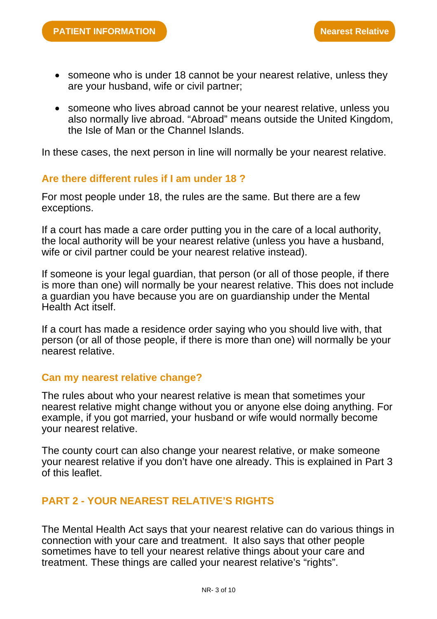- someone who is under 18 cannot be your nearest relative, unless they are your husband, wife or civil partner;
- someone who lives abroad cannot be your nearest relative, unless you also normally live abroad. "Abroad" means outside the United Kingdom, the Isle of Man or the Channel Islands.

In these cases, the next person in line will normally be your nearest relative.

#### **Are there different rules if I am under 18 ?**

For most people under 18, the rules are the same. But there are a few exceptions.

If a court has made a care order putting you in the care of a local authority, the local authority will be your nearest relative (unless you have a husband, wife or civil partner could be your nearest relative instead).

If someone is your legal guardian, that person (or all of those people, if there is more than one) will normally be your nearest relative. This does not include a guardian you have because you are on guardianship under the Mental Health Act itself.

If a court has made a residence order saying who you should live with, that person (or all of those people, if there is more than one) will normally be your nearest relative.

#### **Can my nearest relative change?**

The rules about who your nearest relative is mean that sometimes your nearest relative might change without you or anyone else doing anything. For example, if you got married, your husband or wife would normally become your nearest relative.

The county court can also change your nearest relative, or make someone your nearest relative if you don't have one already. This is explained in Part 3 of this leaflet.

# **PART 2 - YOUR NEAREST RELATIVE'S RIGHTS**

The Mental Health Act says that your nearest relative can do various things in connection with your care and treatment. It also says that other people sometimes have to tell your nearest relative things about your care and treatment. These things are called your nearest relative's "rights".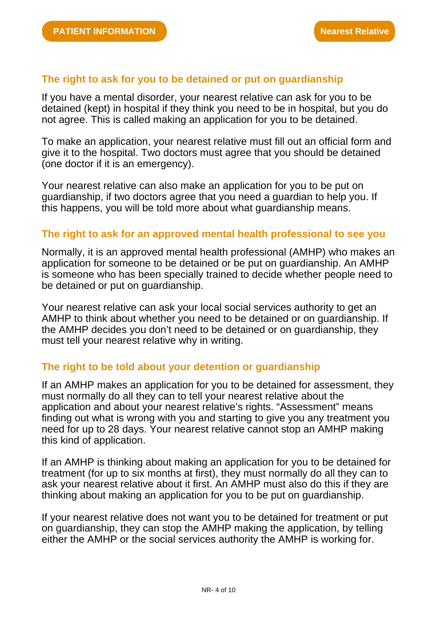# **The right to ask for you to be detained or put on guardianship**

If you have a mental disorder, your nearest relative can ask for you to be detained (kept) in hospital if they think you need to be in hospital, but you do not agree. This is called making an application for you to be detained.

To make an application, your nearest relative must fill out an official form and give it to the hospital. Two doctors must agree that you should be detained (one doctor if it is an emergency).

Your nearest relative can also make an application for you to be put on guardianship, if two doctors agree that you need a guardian to help you. If this happens, you will be told more about what guardianship means.

# **The right to ask for an approved mental health professional to see you**

Normally, it is an approved mental health professional (AMHP) who makes an application for someone to be detained or be put on guardianship. An AMHP is someone who has been specially trained to decide whether people need to be detained or put on guardianship.

Your nearest relative can ask your local social services authority to get an AMHP to think about whether you need to be detained or on guardianship. If the AMHP decides you don't need to be detained or on guardianship, they must tell your nearest relative why in writing.

# **The right to be told about your detention or guardianship**

If an AMHP makes an application for you to be detained for assessment, they must normally do all they can to tell your nearest relative about the application and about your nearest relative's rights. "Assessment" means finding out what is wrong with you and starting to give you any treatment you need for up to 28 days. Your nearest relative cannot stop an AMHP making this kind of application.

If an AMHP is thinking about making an application for you to be detained for treatment (for up to six months at first), they must normally do all they can to ask your nearest relative about it first. An AMHP must also do this if they are thinking about making an application for you to be put on guardianship.

If your nearest relative does not want you to be detained for treatment or put on guardianship, they can stop the AMHP making the application, by telling either the AMHP or the social services authority the AMHP is working for.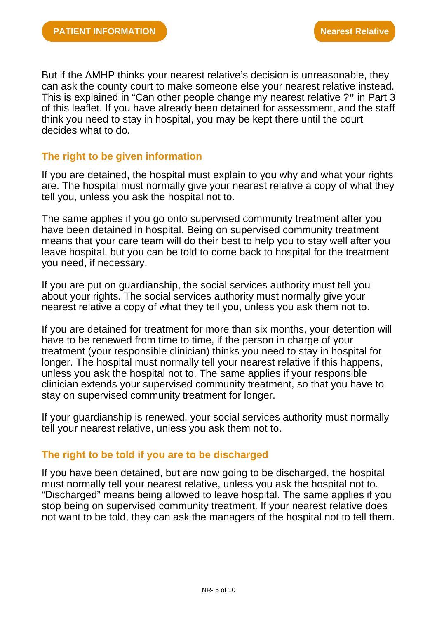But if the AMHP thinks your nearest relative's decision is unreasonable, they can ask the county court to make someone else your nearest relative instead. This is explained in "Can other people change my nearest relative ?**"** in Part 3 of this leaflet. If you have already been detained for assessment, and the staff think you need to stay in hospital, you may be kept there until the court decides what to do.

# **The right to be given information**

If you are detained, the hospital must explain to you why and what your rights are. The hospital must normally give your nearest relative a copy of what they tell you, unless you ask the hospital not to.

The same applies if you go onto supervised community treatment after you have been detained in hospital. Being on supervised community treatment means that your care team will do their best to help you to stay well after you leave hospital, but you can be told to come back to hospital for the treatment you need, if necessary.

If you are put on guardianship, the social services authority must tell you about your rights. The social services authority must normally give your nearest relative a copy of what they tell you, unless you ask them not to.

If you are detained for treatment for more than six months, your detention will have to be renewed from time to time, if the person in charge of your treatment (your responsible clinician) thinks you need to stay in hospital for longer. The hospital must normally tell your nearest relative if this happens, unless you ask the hospital not to. The same applies if your responsible clinician extends your supervised community treatment, so that you have to stay on supervised community treatment for longer.

If your guardianship is renewed, your social services authority must normally tell your nearest relative, unless you ask them not to.

# **The right to be told if you are to be discharged**

If you have been detained, but are now going to be discharged, the hospital must normally tell your nearest relative, unless you ask the hospital not to. "Discharged" means being allowed to leave hospital. The same applies if you stop being on supervised community treatment. If your nearest relative does not want to be told, they can ask the managers of the hospital not to tell them.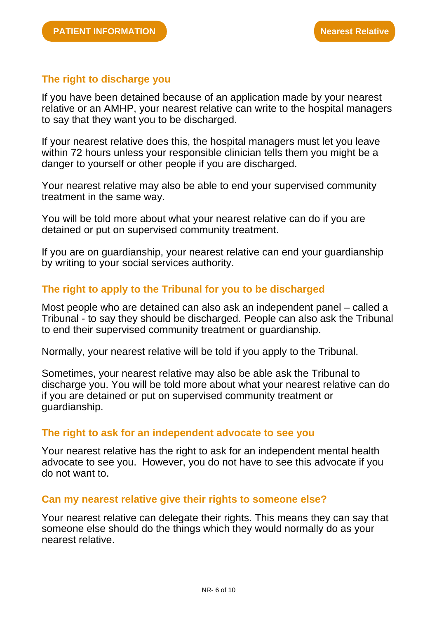# **The right to discharge you**

If you have been detained because of an application made by your nearest relative or an AMHP, your nearest relative can write to the hospital managers to say that they want you to be discharged.

If your nearest relative does this, the hospital managers must let you leave within 72 hours unless your responsible clinician tells them you might be a danger to yourself or other people if you are discharged.

Your nearest relative may also be able to end your supervised community treatment in the same way.

You will be told more about what your nearest relative can do if you are detained or put on supervised community treatment.

If you are on guardianship, your nearest relative can end your guardianship by writing to your social services authority.

# **The right to apply to the Tribunal for you to be discharged**

Most people who are detained can also ask an independent panel – called a Tribunal - to say they should be discharged. People can also ask the Tribunal to end their supervised community treatment or guardianship.

Normally, your nearest relative will be told if you apply to the Tribunal.

Sometimes, your nearest relative may also be able ask the Tribunal to discharge you. You will be told more about what your nearest relative can do if you are detained or put on supervised community treatment or guardianship.

#### **The right to ask for an independent advocate to see you**

Your nearest relative has the right to ask for an independent mental health advocate to see you. However, you do not have to see this advocate if you do not want to.

#### **Can my nearest relative give their rights to someone else?**

Your nearest relative can delegate their rights. This means they can say that someone else should do the things which they would normally do as your nearest relative.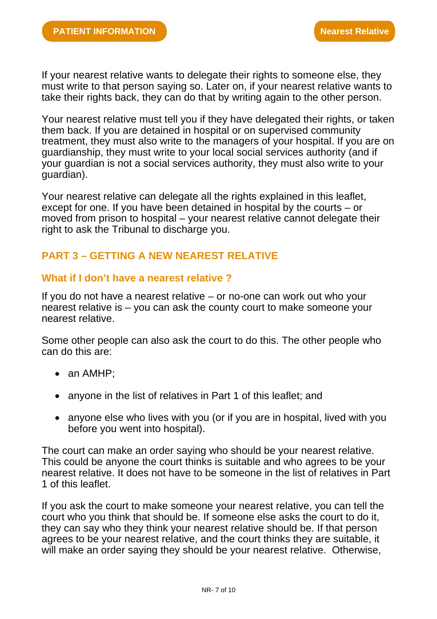If your nearest relative wants to delegate their rights to someone else, they must write to that person saying so. Later on, if your nearest relative wants to take their rights back, they can do that by writing again to the other person.

Your nearest relative must tell you if they have delegated their rights, or taken them back. If you are detained in hospital or on supervised community treatment, they must also write to the managers of your hospital. If you are on guardianship, they must write to your local social services authority (and if your guardian is not a social services authority, they must also write to your guardian).

Your nearest relative can delegate all the rights explained in this leaflet, except for one. If you have been detained in hospital by the courts – or moved from prison to hospital – your nearest relative cannot delegate their right to ask the Tribunal to discharge you.

# **PART 3 – GETTING A NEW NEAREST RELATIVE**

#### **What if I don't have a nearest relative ?**

If you do not have a nearest relative – or no-one can work out who your nearest relative is – you can ask the county court to make someone your nearest relative.

Some other people can also ask the court to do this. The other people who can do this are:

- an AMHP;
- anyone in the list of relatives in Part 1 of this leaflet; and
- anyone else who lives with you (or if you are in hospital, lived with you before you went into hospital).

The court can make an order saying who should be your nearest relative. This could be anyone the court thinks is suitable and who agrees to be your nearest relative. It does not have to be someone in the list of relatives in Part 1 of this leaflet.

If you ask the court to make someone your nearest relative, you can tell the court who you think that should be. If someone else asks the court to do it, they can say who they think your nearest relative should be. If that person agrees to be your nearest relative, and the court thinks they are suitable, it will make an order saying they should be your nearest relative. Otherwise,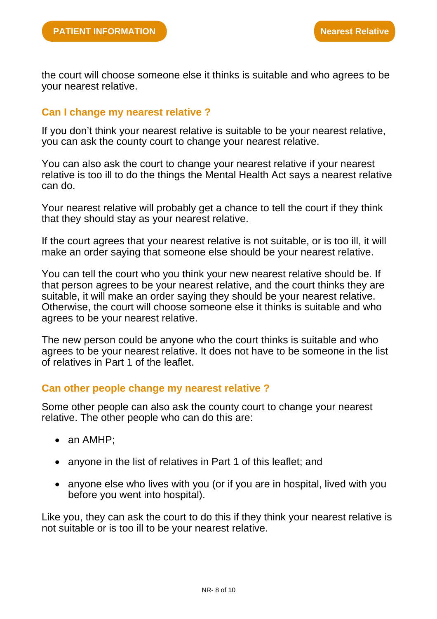the court will choose someone else it thinks is suitable and who agrees to be your nearest relative.

#### **Can I change my nearest relative ?**

If you don't think your nearest relative is suitable to be your nearest relative, you can ask the county court to change your nearest relative.

You can also ask the court to change your nearest relative if your nearest relative is too ill to do the things the Mental Health Act says a nearest relative can do.

Your nearest relative will probably get a chance to tell the court if they think that they should stay as your nearest relative.

If the court agrees that your nearest relative is not suitable, or is too ill, it will make an order saying that someone else should be your nearest relative.

You can tell the court who you think your new nearest relative should be. If that person agrees to be your nearest relative, and the court thinks they are suitable, it will make an order saying they should be your nearest relative. Otherwise, the court will choose someone else it thinks is suitable and who agrees to be your nearest relative.

The new person could be anyone who the court thinks is suitable and who agrees to be your nearest relative. It does not have to be someone in the list of relatives in Part 1 of the leaflet.

#### **Can other people change my nearest relative ?**

Some other people can also ask the county court to change your nearest relative. The other people who can do this are:

- an AMHP:
- anyone in the list of relatives in Part 1 of this leaflet: and
- anyone else who lives with you (or if you are in hospital, lived with you before you went into hospital).

Like you, they can ask the court to do this if they think your nearest relative is not suitable or is too ill to be your nearest relative.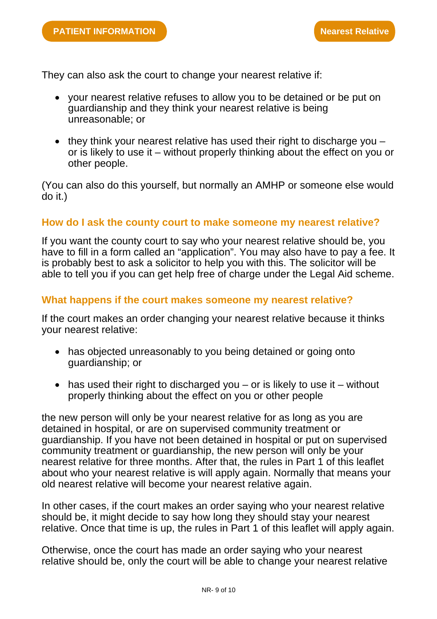They can also ask the court to change your nearest relative if:

- your nearest relative refuses to allow you to be detained or be put on guardianship and they think your nearest relative is being unreasonable; or
- they think your nearest relative has used their right to discharge you  $$ or is likely to use it – without properly thinking about the effect on you or other people.

(You can also do this yourself, but normally an AMHP or someone else would do it.)

#### **How do I ask the county court to make someone my nearest relative?**

If you want the county court to say who your nearest relative should be, you have to fill in a form called an "application". You may also have to pay a fee. It is probably best to ask a solicitor to help you with this. The solicitor will be able to tell you if you can get help free of charge under the Legal Aid scheme.

# **What happens if the court makes someone my nearest relative?**

If the court makes an order changing your nearest relative because it thinks your nearest relative:

- has objected unreasonably to you being detained or going onto guardianship; or
- has used their right to discharged you  $-$  or is likely to use it  $-$  without properly thinking about the effect on you or other people

the new person will only be your nearest relative for as long as you are detained in hospital, or are on supervised community treatment or guardianship. If you have not been detained in hospital or put on supervised community treatment or guardianship, the new person will only be your nearest relative for three months. After that, the rules in Part 1 of this leaflet about who your nearest relative is will apply again. Normally that means your old nearest relative will become your nearest relative again.

In other cases, if the court makes an order saying who your nearest relative should be, it might decide to say how long they should stay your nearest relative. Once that time is up, the rules in Part 1 of this leaflet will apply again.

Otherwise, once the court has made an order saying who your nearest relative should be, only the court will be able to change your nearest relative